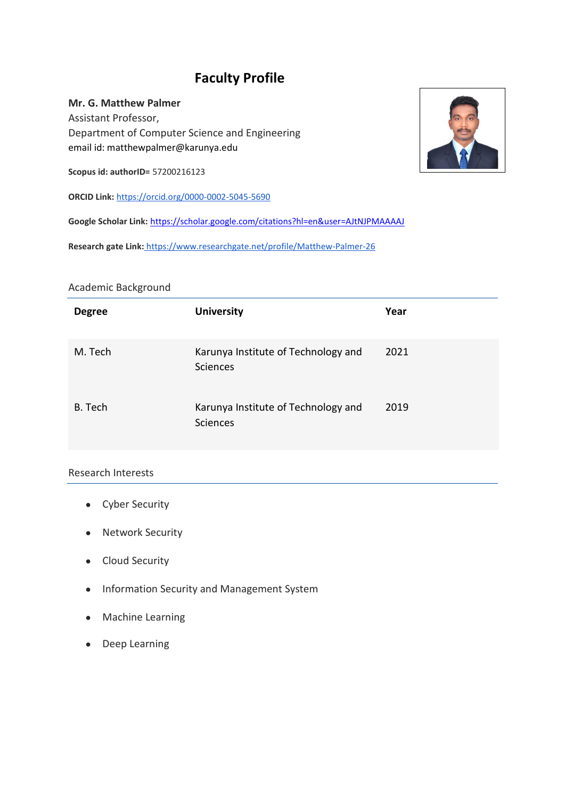# **Faculty Profile**

**Mr. G. Matthew Palmer** Assistant Professor, Department of Computer Science and Engineering email id: matthewpalmer@karunya.edu

**Scopus id: authorID=** 57200216123

**ORCID Link:** https://orcid.org/0000-0002-5045-5690

**Google Scholar Link:** <https://scholar.google.com/citations?hl=en&user=AJtNJPMAAAAJ>

**Research gate Link:** https://www.researchgate.net/profile/Matthew-Palmer-26

#### Academic Background

| <b>Degree</b> | <b>University</b>                                      | Year |
|---------------|--------------------------------------------------------|------|
| M. Tech       | Karunya Institute of Technology and<br><b>Sciences</b> | 2021 |
| B. Tech       | Karunya Institute of Technology and<br>Sciences        | 2019 |

### Research Interests

- Cyber Security
- Network Security
- Cloud Security
- Information Security and Management System
- Machine Learning
- Deep Learning